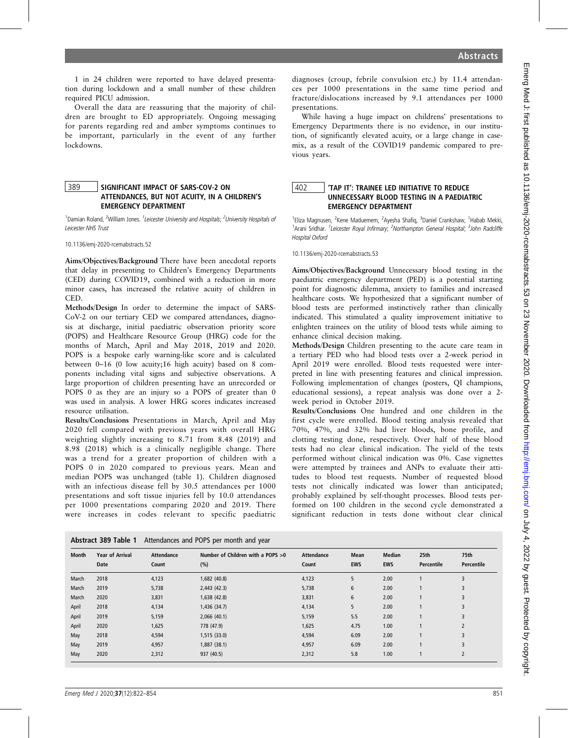1 in 24 children were reported to have delayed presentation during lockdown and a small number of these children required PICU admission.

Overall the data are reassuring that the majority of children are brought to ED appropriately. Ongoing messaging for parents regarding red and amber symptoms continues to be important, particularly in the event of any further lockdowns.

# 389 | SIGNIFICANT IMPACT OF SARS-COV-2 ON ATTENDANCES, BUT NOT ACUITY, IN A CHILDREN'S EMERGENCY DEPARTMENT

<sup>1</sup>Damian Roland, <sup>2</sup>William Jones. <sup>1</sup>Leicester University and Hospitals; <sup>2</sup>University Hospitals of Leicester NHS Trust

10.1136/emj-2020-rcemabstracts.52

Aims/Objectives/Background There have been anecdotal reports that delay in presenting to Children's Emergency Departments (CED) during COVID19, combined with a reduction in more minor cases, has increased the relative acuity of children in CED.

Methods/Design In order to determine the impact of SARS-CoV-2 on our tertiary CED we compared attendances, diagnosis at discharge, initial paediatric observation priority score (POPS) and Healthcare Resource Group (HRG) code for the months of March, April and May 2018, 2019 and 2020. POPS is a bespoke early warning-like score and is calculated between 0–16 (0 low acuity;16 high acuity) based on 8 components including vital signs and subjective observations. A large proportion of children presenting have an unrecorded or POPS 0 as they are an injury so a POPS of greater than 0 was used in analysis. A lower HRG scores indicates increased resource utilisation.

Results/Conclusions Presentations in March, April and May 2020 fell compared with previous years with overall HRG weighting slightly increasing to 8.71 from 8.48 (2019) and 8.98 (2018) which is a clinically negligible change. There was a trend for a greater proportion of children with a POPS 0 in 2020 compared to previous years. Mean and median POPS was unchanged (table 1). Children diagnosed with an infectious disease fell by 30.5 attendances per 1000 presentations and soft tissue injuries fell by 10.0 attendances per 1000 presentations comparing 2020 and 2019. There were increases in codes relevant to specific paediatric

diagnoses (croup, febrile convulsion etc.) by 11.4 attendances per 1000 presentations in the same time period and fracture/dislocations increased by 9.1 attendances per 1000 presentations.

While having a huge impact on childrens' presentations to Emergency Departments there is no evidence, in our institution, of significantly elevated acuity, or a large change in casemix, as a result of the COVID19 pandemic compared to previous years.

# 402 'TAP IT': TRAINEE LED INITIATIVE TO REDUCE UNNECESSARY BLOOD TESTING IN A PAEDIATRIC EMERGENCY DEPARTMENT

<sup>1</sup>Eliza Magnusen, <sup>2</sup>Kene Maduemem, <sup>2</sup>Ayesha Shafiq, <sup>3</sup>Daniel Crankshaw, <sup>1</sup>Habab Mekki, <sup>1</sup> Arani Sridhar. <sup>1</sup> Leicester Royal Infirmary; <sup>2</sup> Northampton General Hospital; <sup>3</sup> John Radcliffe Hospital Oxford

10.1136/emj-2020-rcemabstracts.53

Aims/Objectives/Background Unnecessary blood testing in the paediatric emergency department (PED) is a potential starting point for diagnostic dilemma, anxiety to families and increased healthcare costs. We hypothesized that a significant number of blood tests are performed instinctively rather than clinically indicated. This stimulated a quality improvement initiative to enlighten trainees on the utility of blood tests while aiming to enhance clinical decision making.

Methods/Design Children presenting to the acute care team in a tertiary PED who had blood tests over a 2-week period in April 2019 were enrolled. Blood tests requested were interpreted in line with presenting features and clinical impression. Following implementation of changes (posters, QI champions, educational sessions), a repeat analysis was done over a 2 week period in October 2019.

Results/Conclusions One hundred and one children in the first cycle were enrolled. Blood testing analysis revealed that 70%, 47%, and 32% had liver bloods, bone profile, and clotting testing done, respectively. Over half of these blood tests had no clear clinical indication. The yield of the tests performed without clinical indication was 0%. Case vignettes were attempted by trainees and ANPs to evaluate their attitudes to blood test requests. Number of requested blood tests not clinically indicated was lower than anticipated; probably explained by self-thought processes. Blood tests performed on 100 children in the second cycle demonstrated a significant reduction in tests done without clear clinical

| Attendances and POPS per month and year<br>Abstract 389 Table 1 |                                |                            |                                            |                     |                    |                             |                    |                    |
|-----------------------------------------------------------------|--------------------------------|----------------------------|--------------------------------------------|---------------------|--------------------|-----------------------------|--------------------|--------------------|
| <b>Month</b>                                                    | <b>Year of Arrival</b><br>Date | <b>Attendance</b><br>Count | Number of Children with a POPS $>0$<br>(%) | Attendance<br>Count | Mean<br><b>EWS</b> | <b>Median</b><br><b>EWS</b> | 25th<br>Percentile | 75th<br>Percentile |
| March                                                           | 2018                           | 4,123                      | 1,682 (40.8)                               | 4,123               | 5                  | 2.00                        |                    | 3                  |
| March                                                           | 2019                           | 5,738                      | 2,443(42.3)                                | 5,738               | 6                  | 2.00                        |                    | 3                  |
| March                                                           | 2020                           | 3,831                      | 1,638 (42.8)                               | 3,831               | 6                  | 2.00                        |                    | 3                  |
| April                                                           | 2018                           | 4,134                      | 1,436 (34.7)                               | 4,134               | 5                  | 2.00                        |                    | 3                  |
| April                                                           | 2019                           | 5,159                      | 2,066(40.1)                                | 5,159               | 5.5                | 2.00                        |                    | 3                  |
| April                                                           | 2020                           | 1,625                      | 778 (47.9)                                 | 1,625               | 4.75               | 1.00                        |                    | $\overline{2}$     |
| May                                                             | 2018                           | 4,594                      | 1,515(33.0)                                | 4,594               | 6.09               | 2.00                        |                    | 3                  |
| May                                                             | 2019                           | 4,957                      | 1,887 (38.1)                               | 4,957               | 6.09               | 2.00                        |                    | 3                  |
| May                                                             | 2020                           | 2,312                      | 937 (40.5)                                 | 2,312               | 5.8                | 1.00                        |                    | $\overline{2}$     |